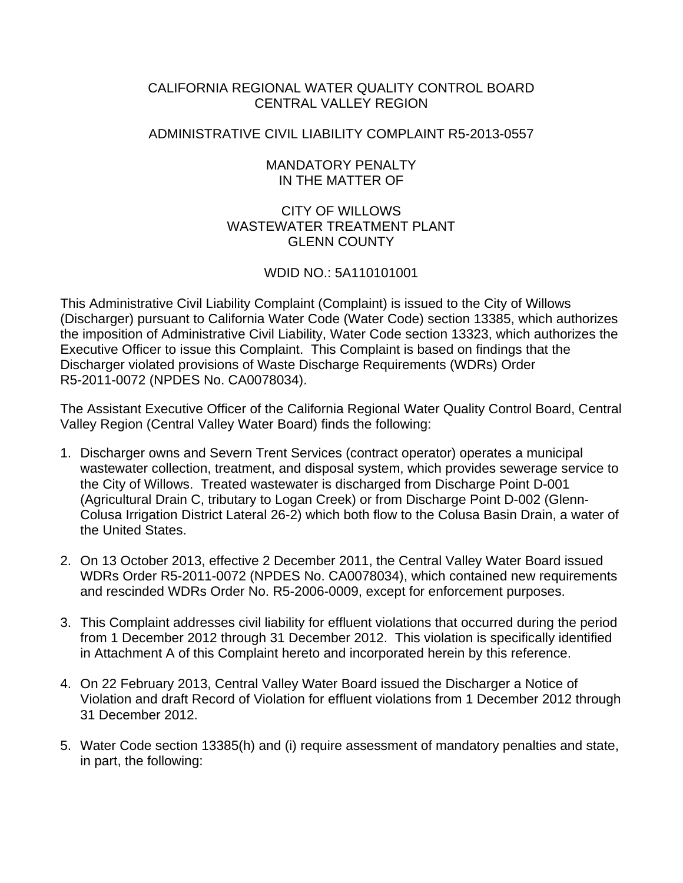# CALIFORNIA REGIONAL WATER QUALITY CONTROL BOARD CENTRAL VALLEY REGION

# ADMINISTRATIVE CIVIL LIABILITY COMPLAINT R5-2013-0557

## MANDATORY PENALTY IN THE MATTER OF

# CITY OF WILLOWS WASTEWATER TREATMENT PLANT GLENN COUNTY

# WDID NO.: 5A110101001

This Administrative Civil Liability Complaint (Complaint) is issued to the City of Willows (Discharger) pursuant to California Water Code (Water Code) section 13385, which authorizes the imposition of Administrative Civil Liability, Water Code section 13323, which authorizes the Executive Officer to issue this Complaint. This Complaint is based on findings that the Discharger violated provisions of Waste Discharge Requirements (WDRs) Order R5-2011-0072 (NPDES No. CA0078034).

The Assistant Executive Officer of the California Regional Water Quality Control Board, Central Valley Region (Central Valley Water Board) finds the following:

- 1. Discharger owns and Severn Trent Services (contract operator) operates a municipal wastewater collection, treatment, and disposal system, which provides sewerage service to the City of Willows. Treated wastewater is discharged from Discharge Point D-001 (Agricultural Drain C, tributary to Logan Creek) or from Discharge Point D-002 (Glenn-Colusa Irrigation District Lateral 26-2) which both flow to the Colusa Basin Drain, a water of the United States.
- 2. On 13 October 2013, effective 2 December 2011, the Central Valley Water Board issued WDRs Order R5-2011-0072 (NPDES No. CA0078034), which contained new requirements and rescinded WDRs Order No. R5-2006-0009, except for enforcement purposes.
- 3. This Complaint addresses civil liability for effluent violations that occurred during the period from 1 December 2012 through 31 December 2012. This violation is specifically identified in Attachment A of this Complaint hereto and incorporated herein by this reference.
- 4. On 22 February 2013, Central Valley Water Board issued the Discharger a Notice of Violation and draft Record of Violation for effluent violations from 1 December 2012 through 31 December 2012.
- 5. Water Code section 13385(h) and (i) require assessment of mandatory penalties and state, in part, the following: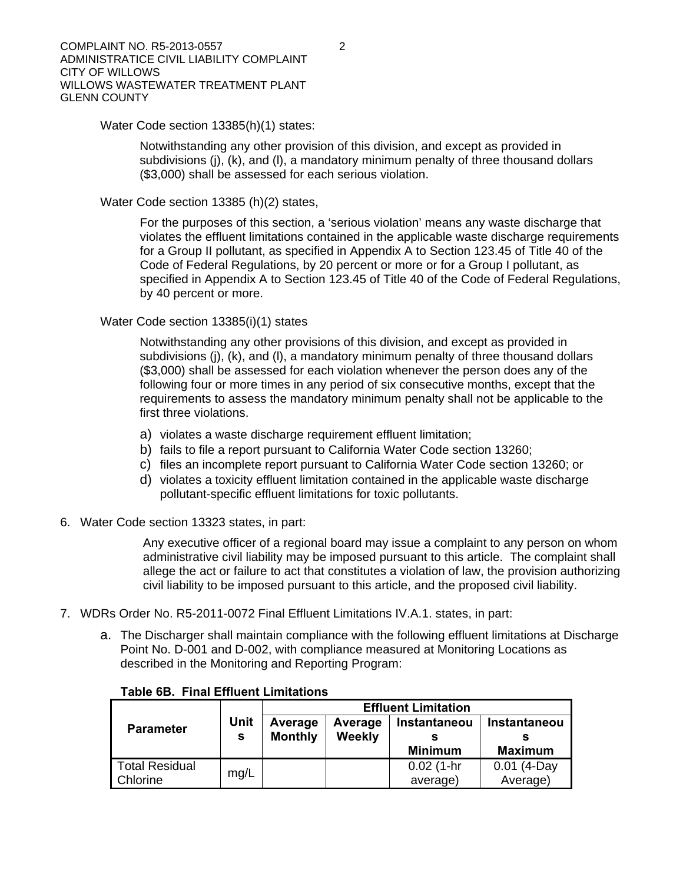Water Code section 13385(h)(1) states:

Notwithstanding any other provision of this division, and except as provided in subdivisions (j), (k), and (l), a mandatory minimum penalty of three thousand dollars (\$3,000) shall be assessed for each serious violation.

Water Code section 13385 (h)(2) states,

For the purposes of this section, a 'serious violation' means any waste discharge that violates the effluent limitations contained in the applicable waste discharge requirements for a Group II pollutant, as specified in Appendix A to Section 123.45 of Title 40 of the Code of Federal Regulations, by 20 percent or more or for a Group I pollutant, as specified in Appendix A to Section 123.45 of Title 40 of the Code of Federal Regulations, by 40 percent or more.

Water Code section 13385(i)(1) states

Notwithstanding any other provisions of this division, and except as provided in subdivisions (j), (k), and (l), a mandatory minimum penalty of three thousand dollars (\$3,000) shall be assessed for each violation whenever the person does any of the following four or more times in any period of six consecutive months, except that the requirements to assess the mandatory minimum penalty shall not be applicable to the first three violations.

- a) violates a waste discharge requirement effluent limitation;
- b) fails to file a report pursuant to California Water Code section 13260;
- c) files an incomplete report pursuant to California Water Code section 13260; or
- d) violates a toxicity effluent limitation contained in the applicable waste discharge pollutant-specific effluent limitations for toxic pollutants.
- 6. Water Code section 13323 states, in part:

Any executive officer of a regional board may issue a complaint to any person on whom administrative civil liability may be imposed pursuant to this article. The complaint shall allege the act or failure to act that constitutes a violation of law, the provision authorizing civil liability to be imposed pursuant to this article, and the proposed civil liability.

- 7. WDRs Order No. R5-2011-0072 Final Effluent Limitations IV.A.1. states, in part:
	- a. The Discharger shall maintain compliance with the following effluent limitations at Discharge Point No. D-001 and D-002, with compliance measured at Monitoring Locations as described in the Monitoring and Reporting Program:

| <b>Parameter</b>      | <b>Unit</b><br>s | <b>Effluent Limitation</b> |         |                |                |  |  |
|-----------------------|------------------|----------------------------|---------|----------------|----------------|--|--|
|                       |                  | Average                    | Average | Instantaneou   | Instantaneou   |  |  |
|                       |                  | <b>Monthly</b>             | Weekly  |                |                |  |  |
|                       |                  |                            |         | <b>Minimum</b> | <b>Maximum</b> |  |  |
| <b>Total Residual</b> |                  |                            |         | $0.02$ (1-hr   | $0.01$ (4-Day  |  |  |
| Chlorine              | mg/L             |                            |         | average)       | Average)       |  |  |

### **Table 6B. Final Effluent Limitations**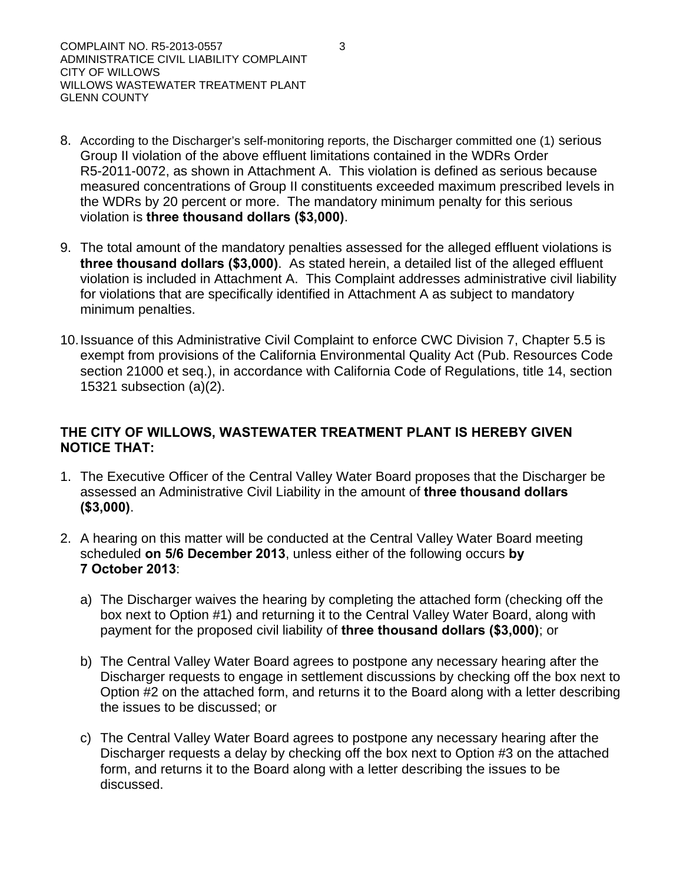- 8. According to the Discharger's self-monitoring reports, the Discharger committed one (1) serious Group II violation of the above effluent limitations contained in the WDRs Order R5-2011-0072, as shown in Attachment A. This violation is defined as serious because measured concentrations of Group II constituents exceeded maximum prescribed levels in the WDRs by 20 percent or more. The mandatory minimum penalty for this serious violation is **three thousand dollars (\$3,000)**.
- 9. The total amount of the mandatory penalties assessed for the alleged effluent violations is **three thousand dollars (\$3,000)**. As stated herein, a detailed list of the alleged effluent violation is included in Attachment A. This Complaint addresses administrative civil liability for violations that are specifically identified in Attachment A as subject to mandatory minimum penalties.
- 10. Issuance of this Administrative Civil Complaint to enforce CWC Division 7, Chapter 5.5 is exempt from provisions of the California Environmental Quality Act (Pub. Resources Code section 21000 et seq.), in accordance with California Code of Regulations, title 14, section 15321 subsection (a)(2).

# **THE CITY OF WILLOWS, WASTEWATER TREATMENT PLANT IS HEREBY GIVEN NOTICE THAT:**

- 1. The Executive Officer of the Central Valley Water Board proposes that the Discharger be assessed an Administrative Civil Liability in the amount of **three thousand dollars (\$3,000)**.
- 2. A hearing on this matter will be conducted at the Central Valley Water Board meeting scheduled **on 5/6 December 2013**, unless either of the following occurs **by 7 October 2013**:
	- a) The Discharger waives the hearing by completing the attached form (checking off the box next to Option #1) and returning it to the Central Valley Water Board, along with payment for the proposed civil liability of **three thousand dollars (\$3,000)**; or
	- b) The Central Valley Water Board agrees to postpone any necessary hearing after the Discharger requests to engage in settlement discussions by checking off the box next to Option #2 on the attached form, and returns it to the Board along with a letter describing the issues to be discussed; or
	- c) The Central Valley Water Board agrees to postpone any necessary hearing after the Discharger requests a delay by checking off the box next to Option #3 on the attached form, and returns it to the Board along with a letter describing the issues to be discussed.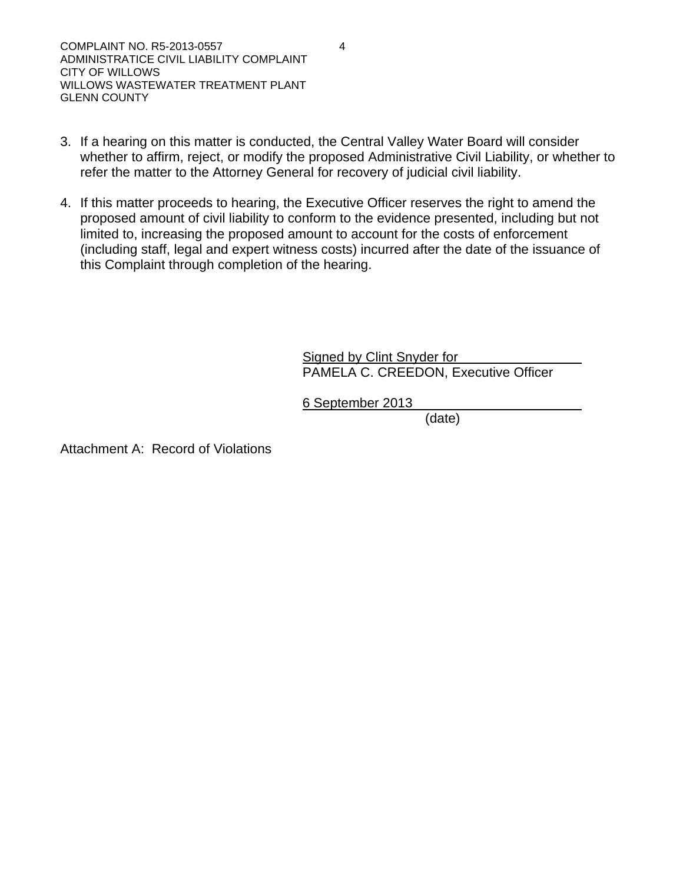- 3. If a hearing on this matter is conducted, the Central Valley Water Board will consider whether to affirm, reject, or modify the proposed Administrative Civil Liability, or whether to refer the matter to the Attorney General for recovery of judicial civil liability.
- 4. If this matter proceeds to hearing, the Executive Officer reserves the right to amend the proposed amount of civil liability to conform to the evidence presented, including but not limited to, increasing the proposed amount to account for the costs of enforcement (including staff, legal and expert witness costs) incurred after the date of the issuance of this Complaint through completion of the hearing.

Signed by Clint Snyder for PAMELA C. CREEDON, Executive Officer

6 September 2013

(date)

Attachment A: Record of Violations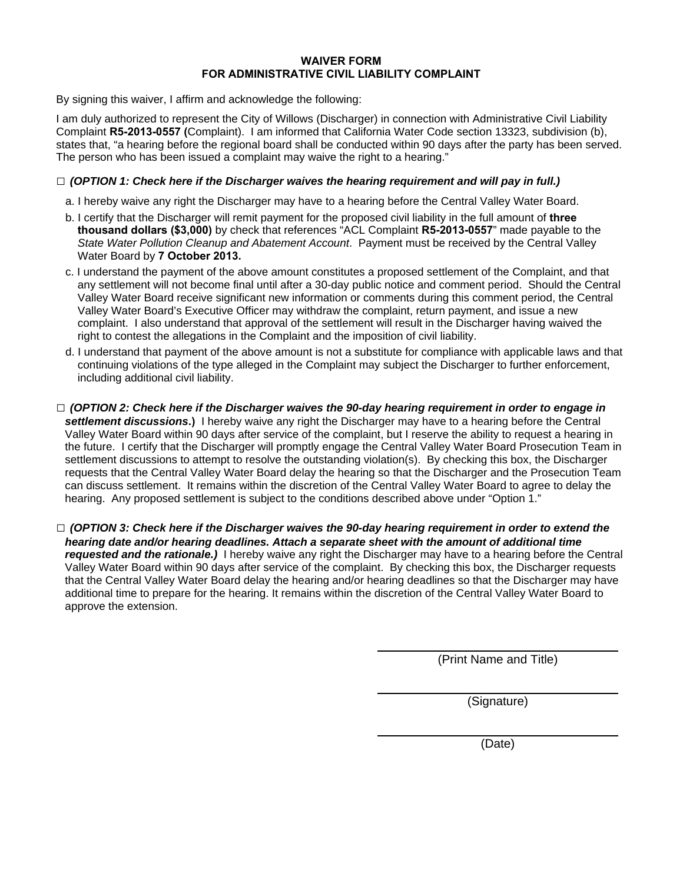#### **WAIVER FORM FOR ADMINISTRATIVE CIVIL LIABILITY COMPLAINT**

By signing this waiver, I affirm and acknowledge the following:

I am duly authorized to represent the City of Willows (Discharger) in connection with Administrative Civil Liability Complaint **R5-2013-0557 (**Complaint). I am informed that California Water Code section 13323, subdivision (b), states that, "a hearing before the regional board shall be conducted within 90 days after the party has been served. The person who has been issued a complaint may waive the right to a hearing."

### **□** *(OPTION 1: Check here if the Discharger waives the hearing requirement and will pay in full.)*

- a. I hereby waive any right the Discharger may have to a hearing before the Central Valley Water Board.
- b. I certify that the Discharger will remit payment for the proposed civil liability in the full amount of **three thousand dollars (\$3,000)** by check that references "ACL Complaint **R5-2013-0557**" made payable to the *State Water Pollution Cleanup and Abatement Account*. Payment must be received by the Central Valley Water Board by **7 October 2013.**
- c. I understand the payment of the above amount constitutes a proposed settlement of the Complaint, and that any settlement will not become final until after a 30-day public notice and comment period. Should the Central Valley Water Board receive significant new information or comments during this comment period, the Central Valley Water Board's Executive Officer may withdraw the complaint, return payment, and issue a new complaint. I also understand that approval of the settlement will result in the Discharger having waived the right to contest the allegations in the Complaint and the imposition of civil liability.
- d. I understand that payment of the above amount is not a substitute for compliance with applicable laws and that continuing violations of the type alleged in the Complaint may subject the Discharger to further enforcement, including additional civil liability.
- **□** *(OPTION 2: Check here if the Discharger waives the 90-day hearing requirement in order to engage in settlement discussions***.)** I hereby waive any right the Discharger may have to a hearing before the Central Valley Water Board within 90 days after service of the complaint, but I reserve the ability to request a hearing in the future. I certify that the Discharger will promptly engage the Central Valley Water Board Prosecution Team in settlement discussions to attempt to resolve the outstanding violation(s). By checking this box, the Discharger requests that the Central Valley Water Board delay the hearing so that the Discharger and the Prosecution Team can discuss settlement. It remains within the discretion of the Central Valley Water Board to agree to delay the hearing. Any proposed settlement is subject to the conditions described above under "Option 1."
- **□** *(OPTION 3: Check here if the Discharger waives the 90-day hearing requirement in order to extend the hearing date and/or hearing deadlines. Attach a separate sheet with the amount of additional time requested and the rationale.)* I hereby waive any right the Discharger may have to a hearing before the Central Valley Water Board within 90 days after service of the complaint. By checking this box, the Discharger requests that the Central Valley Water Board delay the hearing and/or hearing deadlines so that the Discharger may have additional time to prepare for the hearing. It remains within the discretion of the Central Valley Water Board to approve the extension.

(Print Name and Title)

(Signature)

(Date)